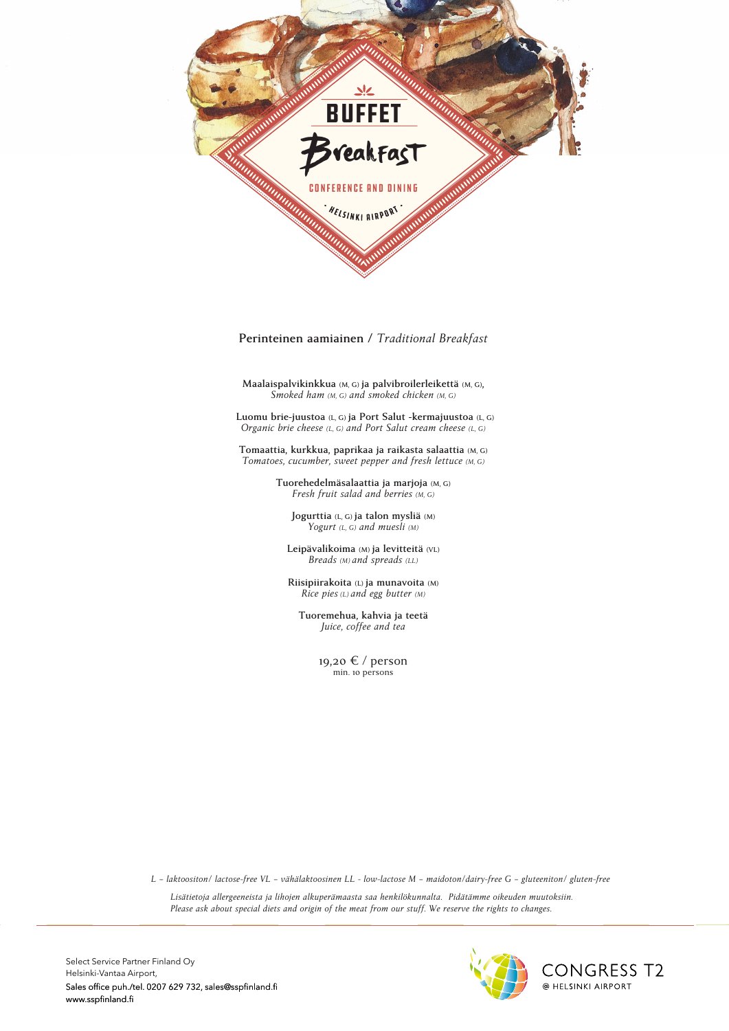

Perinteinen aamiainen / Traditional Breakfast

- Cold smoked salmon **Maalaispalvikinkkua** (M, G) **ja palvibroilerleikettä** (M, G), **Smoked ham (M, G)** and smoked chicken (M, G) *Smoked ham (M, G) and smoked chicken (M, G)*

Luomu brie-juustoa (L, G) ja Port Salut -kermajuustoa (L, G) *Organic brie cheese*  $(L, G)$  *and Port Salut cream cheese*  $(L, G)$ 

 $T$ omaattia, kurkkua, paprikaa ja raikasta salaattia (M, G)  $Tomatoes, cucumber, sweet pepper and fresh lettuce (M, G)$ 

• Salad Nicoise with smoked salmon (M, G), - Asparagus and goat cheese (VL) **Tuorehedelmäsalaattia ja marjoja (M, G) Fresh fruit salad and berries** (M, G)

• Chicken, vegetable salad and marinated apple (M, G) served with  $\mathcal{P}_\mathrm{c}$  sweet pepper salad (M, G) and hereby only (M, G) and hereby only (M, G) and hereby only (M, G) and  $\mathcal{P}_\mathrm{c}$ **Jogurttia** (L, G) **ja talon mysliä** (M) *Yogurt (L, G) and muesli (M)*

Leipävalikoima *(M)* ja levitteitä *(VL)* **Breads** (M) and spreads (LL)

and fried halloumi cheese (L, G) hummus (M, G) • Vegetable-quinoa salad, organic falafels **Riisipiirakoita (L) ja munavoita (M) Rice pies** (L) and egg butter (M)

• Finnish baked cheese salad with roasted nuts (LL,G) and lingonberry • Finnish baked cheese salad with roasted nuts (LL,G) and lingonberry **Tuoremehua, kahvia ja teetä** *Juice, coffee and tea*

min. 10 persons 19,20 € / person

L - laktoositon/ lactose-free VL - vähälaktoosinen LL - low-lactose M - maidoton/dairy-free G - gluteeniton/ gluten-free

Lisätietoja allergeeneista ja lihojen alkuperämaasta saa henkilökunnalta. Pidätämme oikeuden muutoksiin. *Please ask about special diets and origin of the meat from our stuff. We reserve the rights to changes.*



Select Service Partner Finland Oy Helsinki-Vantaa Airport, Sales office puh./tel. 0207 629 732, sales@sspfinland.fi www.sspfinland.fi $\overline{\phantom{a}}$